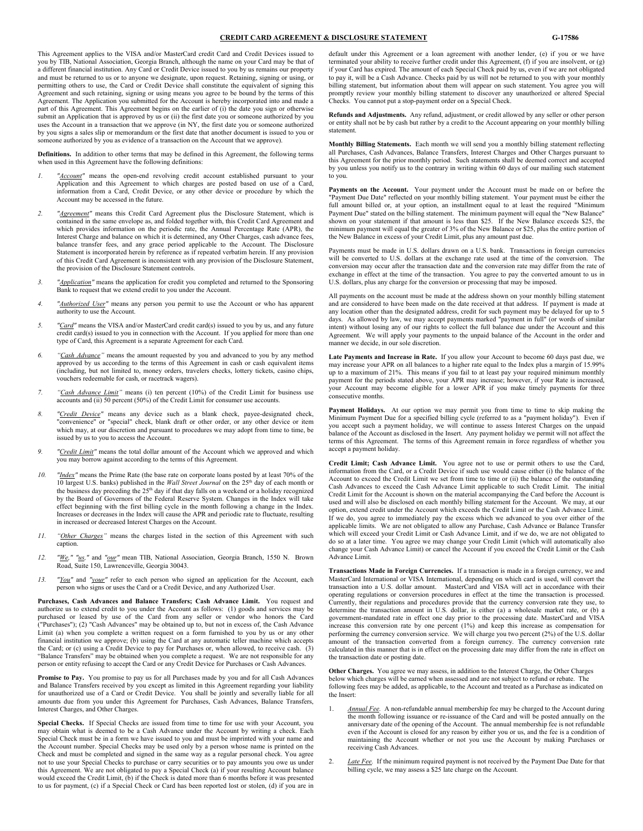#### **CREDIT CARD AGREEMENT & DISCLOSURE STATEMENT G-17586**

This Agreement applies to the VISA and/or MasterCard credit Card and Credit Devices issued to you by TIB, National Association, Georgia Branch, although the name on your Card may be that of a different financial institution. Any Card or Credit Device issued to you by us remains our property and must be returned to us or to anyone we designate, upon request. Retaining, signing or using, or permitting others to use, the Card or Credit Device shall constitute the equivalent of signing this Agreement and such retaining, signing or using means you agree to be bound by the terms of this Agreement. The Application you submitted for the Account is hereby incorporated into and made a part of this Agreement. This Agreement begins on the earlier of (i) the date you sign or otherwise submit an Application that is approved by us or (ii) the first date you or someone authorized by you uses the Account in a transaction that we approve (in NY, the first date you or someone authorized by you signs a sales slip or memorandum or the first date that another document is issued to you or someone authorized by you as evidence of a transaction on the Account that we approve).

**Definitions.** In addition to other terms that may be defined in this Agreement, the following terms when used in this Agreement have the following definitions:

- *1. "Account"* means the open-end revolving credit account established pursuant to your Application and this Agreement to which charges are posted based on use of a Card, information from a Card, Credit Device, or any other device or procedure by which the Account may be accessed in the future.
- *2. "Agreement"* means this Credit Card Agreement plus the Disclosure Statement, which is contained in the same envelope as, and folded together with, this Credit Card Agreement and which provides information on the periodic rate, the Annual Percentage Rate (APR), the Interest Charge and balance on which it is determined, any Other Charges, cash advance fees, balance transfer fees, and any grace period applicable to the Account. The Disclosure Statement is incorporated herein by reference as if repeated verbatim herein. If any provision of this Credit Card Agreement is inconsistent with any provision of the Disclosure Statement, the provision of the Disclosure Statement controls.
- *3. "Application"* means the application for credit you completed and returned to the Sponsoring Bank to request that we extend credit to you under the Account.
- *4. "Authorized User"* means any person you permit to use the Account or who has apparent authority to use the Account.
- *5. "Card"* means the VISA and/or MasterCard credit card(s) issued to you by us, and any future credit card(s) issued to you in connection with the Account. If you applied for more than one type of Card, this Agreement is a separate Agreement for each Card.
- *6. "Cash Advance"* means the amount requested by you and advanced to you by any method approved by us according to the terms of this Agreement in cash or cash equivalent items (including, but not limited to, money orders, travelers checks, lottery tickets, casino chips, vouchers redeemable for cash, or racetrack wagers).
- *7. "Cash Advance Limit"* means (i) ten percent (10%) of the Credit Limit for business use accounts and (ii) 50 percent (50%) of the Credit Limit for consumer use accounts.
- *8. "Credit Device"* means any device such as a blank check, payee-designated check, "convenience" or "special" check, blank draft or other order, or any other device or item which may, at our discretion and pursuant to procedures we may adopt from time to time, be issued by us to you to access the Account.
- "Credit Limit" means the total dollar amount of the Account which we approved and which you may borrow against according to the terms of this Agreement.
- *10. "Index"* means the Prime Rate (the base rate on corporate loans posted by at least 70% of the 10 largest U.S. banks) published in the *Wall Street Journal* on the 25th day of each month or the business day preceding the 25<sup>th</sup> day if that day falls on a weekend or a holiday recognized by the Board of Governors of the Federal Reserve System. Changes in the Index will take effect beginning with the first billing cycle in the month following a change in the Index. Increases or decreases in the Index will cause the APR and periodic rate to fluctuate, resulting in increased or decreased Interest Charges on the Account.
- *11. "Other Charges"* means the charges listed in the section of this Agreement with such caption.
- *12. "We," "us,"* and *"our"* mean TIB, National Association, Georgia Branch, 1550 N. Brown Road, Suite 150, Lawrenceville, Georgia 30043.
- *13. "You"* and *"your"* refer to each person who signed an application for the Account, each person who signs or uses the Card or a Credit Device, and any Authorized User.

**Purchases, Cash Advances and Balance Transfers; Cash Advance Limit.** You request and authorize us to extend credit to you under the Account as follows: (1) goods and services may be purchased or leased by use of the Card from any seller or vendor who honors the Card ("Purchases"); (2) "Cash Advances" may be obtained up to, but not in excess of, the Cash Advance Limit (a) when you complete a written request on a form furnished to you by us or any other financial institution we approve; (b) using the Card at any automatic teller machine which accepts the Card; or (c) using a Credit Device to pay for Purchases or, when allowed, to receive cash. (3) "Balance Transfers" may be obtained when you complete a request. We are not responsible for any person or entity refusing to accept the Card or any Credit Device for Purchases or Cash Advances.

**Promise to Pay.** You promise to pay us for all Purchases made by you and for all Cash Advances and Balance Transfers received by you except as limited in this Agreement regarding your liability for unauthorized use of a Card or Credit Device. You shall be jointly and severally liable for all amounts due from you under this Agreement for Purchases, Cash Advances, Balance Transfers, Interest Charges, and Other Charges.

**Special Checks.** If Special Checks are issued from time to time for use with your Account, you may obtain what is deemed to be a Cash Advance under the Account by writing a check. Each Special Check must be in a form we have issued to you and must be imprinted with your name and the Account number. Special Checks may be used only by a person whose name is printed on the Check and must be completed and signed in the same way as a regular personal check. You agree not to use your Special Checks to purchase or carry securities or to pay amounts you owe us under this Agreement. We are not obligated to pay a Special Check (a) if your resulting Account balance would exceed the Credit Limit, (b) if the Check is dated more than 6 months before it was presented to us for payment, (c) if a Special Check or Card has been reported lost or stolen, (d) if you are in

default under this Agreement or a loan agreement with another lender, (e) if you or we have terminated your ability to receive further credit under this Agreement, (f) if you are insolvent, or (g) if your Card has expired. The amount of each Special Check paid by us, even if we are not obligated to pay it, will be a Cash Advance. Checks paid by us will not be returned to you with your monthly billing statement, but information about them will appear on such statement. You agree you will promptly review your monthly billing statement to discover any unauthorized or altered Special Checks. You cannot put a stop-payment order on a Special Check.

**Refunds and Adjustments.** Any refund, adjustment, or credit allowed by any seller or other person or entity shall not be by cash but rather by a credit to the Account appearing on your monthly billing statement.

**Monthly Billing Statements.** Each month we will send you a monthly billing statement reflecting all Purchases, Cash Advances, Balance Transfers, Interest Charges and Other Charges pursuant to this Agreement for the prior monthly period. Such statements shall be deemed correct and accepted by you unless you notify us to the contrary in writing within 60 days of our mailing such statement to you.

**Payments on the Account.** Your payment under the Account must be made on or before the "Payment Due Date" reflected on your monthly billing statement. Your payment must be either the full amount billed or, at your option, an installment equal to at least the required "Minimum Payment Due" stated on the billing statement. The minimum payment will equal the "New Balance" shown on your statement if that amount is less than \$25. If the New Balance exceeds \$25, the minimum payment will equal the greater of 3% of the New Balance or \$25, plus the entire portion of the New Balance in excess of your Credit Limit, plus any amount past due.

Payments must be made in U.S. dollars drawn on a U.S. bank. Transactions in foreign currencies will be converted to U.S. dollars at the exchange rate used at the time of the conversion. The conversion may occur after the transaction date and the conversion rate may differ from the rate of exchange in effect at the time of the transaction. You agree to pay the converted amount to us in U.S. dollars, plus any charge for the conversion or processing that may be imposed.

All payments on the account must be made at the address shown on your monthly billing statement and are considered to have been made on the date received at that address. If payment is made at any location other than the designated address, credit for such payment may be delayed for up to 5 days. As allowed by law, we may accept payments marked "payment in full" (or words of similar intent) without losing any of our rights to collect the full balance due under the Account and this Agreement. We will apply your payments to the unpaid balance of the Account in the order and manner we decide, in our sole discretion.

**Late Payments and Increase in Rate.** If you allow your Account to become 60 days past due, we may increase your APR on all balances to a higher rate equal to the Index plus a margin of 15.99% up to a maximum of 21%. This means if you fail to at least pay your required minimum monthly payment for the periods stated above, your APR may increase; however, if your Rate is increased, your Account may become eligible for a lower APR if you make timely payments for three consecutive months.

Payment Holidays. At our option we may permit you from time to time to skip making the Minimum Payment Due for a specified billing cycle (referred to as a "payment holiday"). Even if you accept such a payment holiday, we will continue to assess Interest Charges on the unpaid balance of the Account as disclosed in the Insert. Any payment holiday we permit will not affect the terms of this Agreement. The terms of this Agreement remain in force regardless of whether you accept a payment holiday.

**Credit Limit; Cash Advance Limit.** You agree not to use or permit others to use the Card, information from the Card, or a Credit Device if such use would cause either (i) the balance of the Account to exceed the Credit Limit we set from time to time or (ii) the balance of the outstanding Cash Advances to exceed the Cash Advance Limit applicable to such Credit Limit. The initial Credit Limit for the Account is shown on the material accompanying the Card before the Account is used and will also be disclosed on each monthly billing statement for the Account. We may, at our option, extend credit under the Account which exceeds the Credit Limit or the Cash Advance Limit. If we do, you agree to immediately pay the excess which we advanced to you over either of the applicable limits. We are not obligated to allow any Purchase, Cash Advance or Balance Transfer which will exceed your Credit Limit or Cash Advance Limit, and if we do, we are not obligated to do so at a later time. You agree we may change your Credit Limit (which will automatically also change your Cash Advance Limit) or cancel the Account if you exceed the Credit Limit or the Cash Advance Limit.

**Transactions Made in Foreign Currencies.** If a transaction is made in a foreign currency, we and MasterCard International or VISA International, depending on which card is used, will convert the transaction into a U.S. dollar amount. MasterCard and VISA will act in accordance with their operating regulations or conversion procedures in effect at the time the transaction is processed. Currently, their regulations and procedures provide that the currency conversion rate they use, to determine the transaction amount in U.S. dollar, is either (a) a wholesale market rate, or (b) a government-mandated rate in effect one day prior to the processing date. MasterCard and VISA increase this conversion rate by one percent (1%) and keep this increase as compensation for performing the currency conversion service. We will charge you two percent (2%) of the U.S. dollar amount of the transaction converted from a foreign currency. The currency conversion rate calculated in this manner that is in effect on the processing date may differ from the rate in effect on the transaction date or posting date.

**Other Charges.** You agree we may assess, in addition to the Interest Charge, the Other Charges below which charges will be earned when assessed and are not subject to refund or rebate. The following fees may be added, as applicable, to the Account and treated as a Purchase as indicated on the Insert:

- 1. *Annual Fee.* A non-refundable annual membership fee may be charged to the Account during the month following issuance or re-issuance of the Card and will be posted annually on the anniversary date of the opening of the Account. The annual membership fee is not refundable even if the Account is closed for any reason by either you or us, and the fee is a condition of maintaining the Account whether or not you use the Account by making Purchases or receiving Cash Advances.
- 2. *Late Fee.* If the minimum required payment is not received by the Payment Due Date for that billing cycle, we may assess a \$25 late charge on the Account.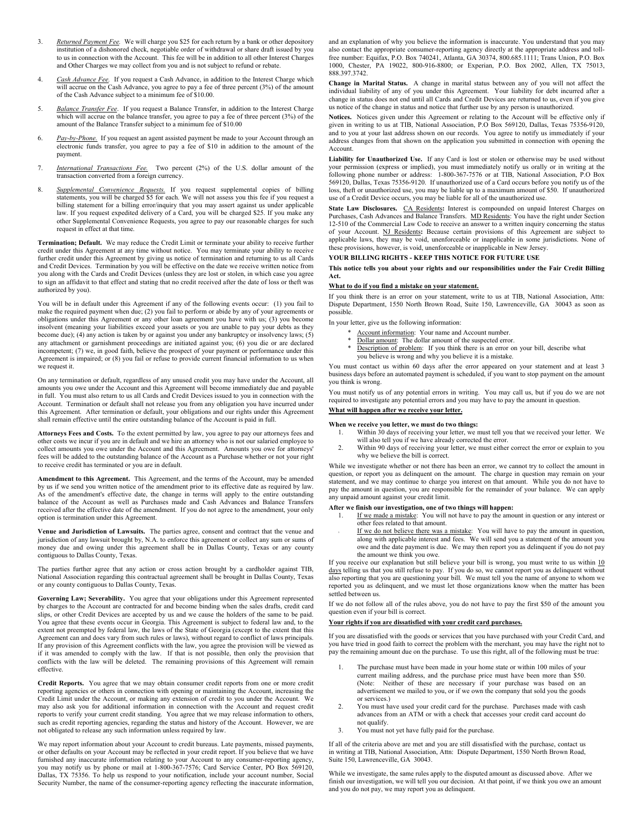- 3. *Returned Payment Fee.* We will charge you \$25 for each return by a bank or other depository institution of a dishonored check, negotiable order of withdrawal or share draft issued by you to us in connection with the Account. This fee will be in addition to all other Interest Charges and Other Charges we may collect from you and is not subject to refund or rebate.
- 4. *Cash Advance Fee.* If you request a Cash Advance, in addition to the Interest Charge which will accrue on the Cash Advance, you agree to pay a fee of three percent (3%) of the amount of the Cash Advance subject to a minimum fee of \$10.00.
- 5. *Balance Transfer Fee*. If you request a Balance Transfer, in addition to the Interest Charge which will accrue on the balance transfer, you agree to pay a fee of three percent (3%) of the amount of the Balance Transfer subject to a minimum fee of \$10.00
- 6. *Pay-by-Phone.* If you request an agent assisted payment be made to your Account through an electronic funds transfer, you agree to pay a fee of \$10 in addition to the amount of the payment.
- 7. *International Transactions Fee.* Two percent (2%) of the U.S. dollar amount of the transaction converted from a foreign currency.
- 8. *Supplemental Convenience Requests.* If you request supplemental copies of billing statements, you will be charged \$5 for each. We will not assess you this fee if you request a billing statement for a billing error/inquiry that you may assert against us under applicable law. If you request expedited delivery of a Card, you will be charged \$25. If you make any other Supplemental Convenience Requests, you agree to pay our reasonable charges for such request in effect at that time.

**Termination; Default.** We may reduce the Credit Limit or terminate your ability to receive further credit under this Agreement at any time without notice. You may terminate your ability to receive further credit under this Agreement by giving us notice of termination and returning to us all Cards and Credit Devices. Termination by you will be effective on the date we receive written notice from you along with the Cards and Credit Devices (unless they are lost or stolen, in which case you agree to sign an affidavit to that effect and stating that no credit received after the date of loss or theft was authorized by you).

You will be in default under this Agreement if any of the following events occur: (1) you fail to make the required payment when due; (2) you fail to perform or abide by any of your agreements or obligations under this Agreement or any other loan agreement you have with us; (3) you become insolvent (meaning your liabilities exceed your assets or you are unable to pay your debts as they become due); (4) any action is taken by or against you under any bankruptcy or insolvency laws; (5) any attachment or garnishment proceedings are initiated against you; (6) you die or are declared incompetent; (7) we, in good faith, believe the prospect of your payment or performance under this Agreement is impaired; or (8) you fail or refuse to provide current financial information to us when we request it.

On any termination or default, regardless of any unused credit you may have under the Account, all amounts you owe under the Account and this Agreement will become immediately due and payable in full. You must also return to us all Cards and Credit Devices issued to you in connection with the Account. Termination or default shall not release you from any obligation you have incurred under this Agreement. After termination or default, your obligations and our rights under this Agreement shall remain effective until the entire outstanding balance of the Account is paid in full.

**Attorneys Fees and Costs.** To the extent permitted by law, you agree to pay our attorneys fees and other costs we incur if you are in default and we hire an attorney who is not our salaried employee to collect amounts you owe under the Account and this Agreement. Amounts you owe for attorneys' fees will be added to the outstanding balance of the Account as a Purchase whether or not your right to receive credit has terminated or you are in default.

**Amendment to this Agreement.** This Agreement, and the terms of the Account, may be amended by us if we send you written notice of the amendment prior to its effective date as required by law. As of the amendment's effective date, the change in terms will apply to the entire outstanding balance of the Account as well as Purchases made and Cash Advances and Balance Transfers received after the effective date of the amendment. If you do not agree to the amendment, your only option is termination under this Agreement.

**Venue and Jurisdiction of Lawsuits.** The parties agree, consent and contract that the venue and jurisdiction of any lawsuit brought by, N.A. to enforce this agreement or collect any sum or sums of money due and owing under this agreement shall be in Dallas County, Texas or any county contiguous to Dallas County, Texas.

The parties further agree that any action or cross action brought by a cardholder against TIB, National Association regarding this contractual agreement shall be brought in Dallas County, Texas or any county contiguous to Dallas County, Texas.

**Governing Law; Severability.** You agree that your obligations under this Agreement represented by charges to the Account are contracted for and become binding when the sales drafts, credit card slips, or other Credit Devices are accepted by us and we cause the holders of the same to be paid. You agree that these events occur in Georgia. This Agreement is subject to federal law and, to the extent not preempted by federal law, the laws of the State of Georgia (except to the extent that this Agreement can and does vary from such rules or laws), without regard to conflict of laws principals. If any provision of this Agreement conflicts with the law, you agree the provision will be viewed as if it was amended to comply with the law. If that is not possible, then only the provision that conflicts with the law will be deleted. The remaining provisions of this Agreement will remain effective.

**Credit Reports.** You agree that we may obtain consumer credit reports from one or more credit reporting agencies or others in connection with opening or maintaining the Account, increasing the Credit Limit under the Account, or making any extension of credit to you under the Account. We may also ask you for additional information in connection with the Account and request credit reports to verify your current credit standing. You agree that we may release information to others, such as credit reporting agencies, regarding the status and history of the Account. However, we are not obligated to release any such information unless required by law.

We may report information about your Account to credit bureaus. Late payments, missed payments, or other defaults on your Account may be reflected in your credit report. If you believe that we have furnished any inaccurate information relating to your Account to any consumer-reporting agency, you may notify us by phone or mail at 1-800-367-7576; Card Service Center, PO Box 569120, Dallas, TX 75356. To help us respond to your notification, include your account number, Social Security Number, the name of the consumer-reporting agency reflecting the inaccurate information,

and an explanation of why you believe the information is inaccurate. You understand that you may also contact the appropriate consumer-reporting agency directly at the appropriate address and tollfree number: Equifax, P.O. Box 740241, Atlanta, GA 30374, 800.685.1111; Trans Union, P.O. Box 1000, Chester, PA 19022, 800-916-8800; or Experian, P.O. Box 2002, Allen, TX 75013, 888.397.3742.

**Change in Marital Status.** A change in marital status between any of you will not affect the individual liability of any of you under this Agreement. Your liability for debt incurred after a change in status does not end until all Cards and Credit Devices are returned to us, even if you give us notice of the change in status and notice that further use by any person is unauthorized.

**Notices.** Notices given under this Agreement or relating to the Account will be effective only if given in writing to us at TIB, National Association, P.O Box 569120, Dallas, Texas 75356-9120, and to you at your last address shown on our records. You agree to notify us immediately if your address changes from that shown on the application you submitted in connection with opening the Account.

**Liability for Unauthorized Use.** If any Card is lost or stolen or otherwise may be used without your permission (express or implied), you must immediately notify us orally or in writing at the following phone number or address: 1-800-367-7576 or at TIB, National Association, P.O Box 569120, Dallas, Texas 75356-9120. If unauthorized use of a Card occurs before you notify us of the loss, theft or unauthorized use, you may be liable up to a maximum amount of \$50. If unauthorized use of a Credit Device occurs, you may be liable for all of the unauthorized use.

**State Law Disclosures.** CA Residents**:** Interest is compounded on unpaid Interest Charges on Purchases, Cash Advances and Balance Transfers. MD Residents: You have the right under Section 12-510 of the Commercial Law Code to receive an answer to a written inquiry concerning the status of your Account. NJ Residents**:** Because certain provisions of this Agreement are subject to applicable laws, they may be void, unenforceable or inapplicable in some jurisdictions. None of these provisions, however, is void, unenforceable or inapplicable in New Jersey.

#### **YOUR BILLING RIGHTS - KEEP THIS NOTICE FOR FUTURE USE**

**This notice tells you about your rights and our responsibilities under the Fair Credit Billing Act.**

#### **What to do if you find a mistake on your statement.**

If you think there is an error on your statement, write to us at TIB, National Association, Attn: Dispute Department, 1550 North Brown Road, Suite 150, Lawrenceville, GA 30043 as soon as possible.

In your letter, give us the following information:

- Account information: Your name and Account number.
- Dollar amount: The dollar amount of the suspected error.
- Description of problem: If you think there is an error on your bill, describe what you believe is wrong and why you believe it is a mistake.

You must contact us within 60 days after the error appeared on your statement and at least 3 business days before an automated payment is scheduled, if you want to stop payment on the amount you think is wrong.

You must notify us of any potential errors in writing. You may call us, but if you do we are not required to investigate any potential errors and you may have to pay the amount in question.

### **What will happen after we receive your letter.**

# **When we receive you letter, we must do two things:**<br>1. Within 30 days of receiving your letter, we r

- Within 30 days of receiving your letter, we must tell you that we received your letter. We will also tell you if we have already corrected the error.
- 2. Within 90 days of receiving your letter, we must either correct the error or explain to you why we believe the bill is correct.

While we investigate whether or not there has been an error, we cannot try to collect the amount in question, or report you as delinquent on the amount. The charge in question may remain on your statement, and we may continue to charge you interest on that amount. While you do not have to pay the amount in question, you are responsible for the remainder of your balance. We can apply any unpaid amount against your credit limit.

#### **After we finish our investigation, one of two things will happen:**

- 1. If we made a mistake: You will not have to pay the amount in question or any interest or other fees related to that amount.
- If we do not believe there was a mistake: You will have to pay the amount in question, along with applicable interest and fees. We will send you a statement of the amount you owe and the date payment is due. We may then report you as delinquent if you do not pay the amount we think you owe.

If you receive our explanation but still believe your bill is wrong, you must write to us within 10 days telling us that you still refuse to pay. If you do so, we cannot report you as delinquent without also reporting that you are questioning your bill. We must tell you the name of anyone to whom we reported you as delinquent, and we must let those organizations know when the matter has been settled between us.

If we do not follow all of the rules above, you do not have to pay the first \$50 of the amount you question even if your bill is correct.

#### **Your rights if you are dissatisfied with your credit card purchases.**

If you are dissatisfied with the goods or services that you have purchased with your Credit Card, and you have tried in good faith to correct the problem with the merchant, you may have the right not to pay the remaining amount due on the purchase. To use this right, all of the following must be true:

- The purchase must have been made in your home state or within 100 miles of your current mailing address, and the purchase price must have been more than \$50. (Note: Neither of these are necessary if your purchase was based on an advertisement we mailed to you, or if we own the company that sold you the goods or services.)
- 2. You must have used your credit card for the purchase. Purchases made with cash advances from an ATM or with a check that accesses your credit card account do not qualify.
- 3. You must not yet have fully paid for the purchase.

If all of the criteria above are met and you are still dissatisfied with the purchase, contact us in writing at TIB, National Association, Attn: Dispute Department, 1550 North Brown Road, Suite 150, Lawrenceville, GA 30043.

While we investigate, the same rules apply to the disputed amount as discussed above. After we finish our investigation, we will tell you our decision. At that point, if we think you owe an amount and you do not pay, we may report you as delinquent.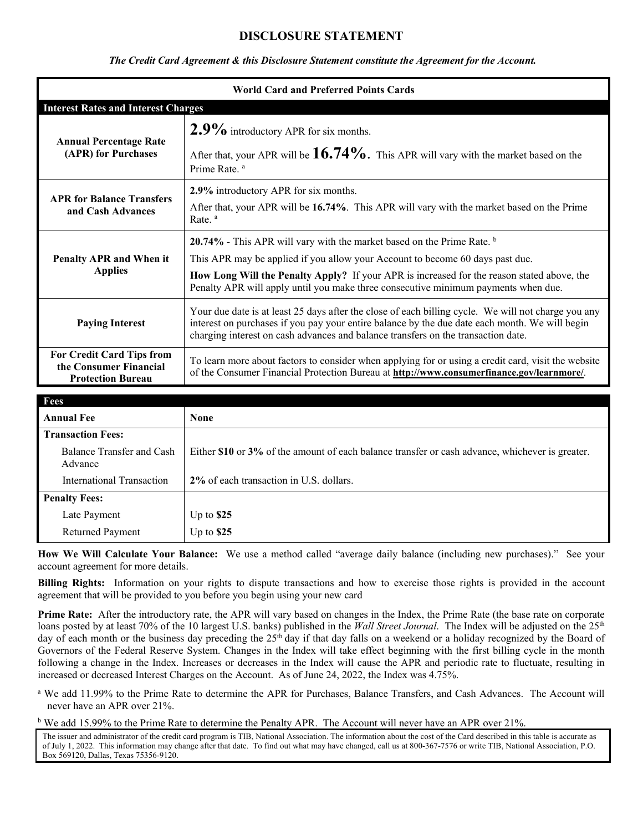# **DISCLOSURE STATEMENT**

# *The Credit Card Agreement & this Disclosure Statement constitute the Agreement for the Account.*

| <b>World Card and Preferred Points Cards</b>                                           |                                                                                                                                                                                                                                                                                            |
|----------------------------------------------------------------------------------------|--------------------------------------------------------------------------------------------------------------------------------------------------------------------------------------------------------------------------------------------------------------------------------------------|
| <b>Interest Rates and Interest Charges</b>                                             |                                                                                                                                                                                                                                                                                            |
| <b>Annual Percentage Rate</b><br>(APR) for Purchases                                   | $2.9\%$ introductory APR for six months.                                                                                                                                                                                                                                                   |
|                                                                                        | After that, your APR will be $16.74\%$ . This APR will vary with the market based on the<br>Prime Rate. <sup>a</sup>                                                                                                                                                                       |
| <b>APR for Balance Transfers</b><br>and Cash Advances                                  | 2.9% introductory APR for six months.                                                                                                                                                                                                                                                      |
|                                                                                        | After that, your APR will be 16.74%. This APR will vary with the market based on the Prime<br>Rate. <sup>a</sup>                                                                                                                                                                           |
| Penalty APR and When it<br><b>Applies</b>                                              | 20.74% - This APR will vary with the market based on the Prime Rate. b                                                                                                                                                                                                                     |
|                                                                                        | This APR may be applied if you allow your Account to become 60 days past due.                                                                                                                                                                                                              |
|                                                                                        | How Long Will the Penalty Apply? If your APR is increased for the reason stated above, the<br>Penalty APR will apply until you make three consecutive minimum payments when due.                                                                                                           |
| <b>Paying Interest</b>                                                                 | Your due date is at least 25 days after the close of each billing cycle. We will not charge you any<br>interest on purchases if you pay your entire balance by the due date each month. We will begin<br>charging interest on cash advances and balance transfers on the transaction date. |
| <b>For Credit Card Tips from</b><br>the Consumer Financial<br><b>Protection Bureau</b> | To learn more about factors to consider when applying for or using a credit card, visit the website<br>of the Consumer Financial Protection Bureau at <b>http://www.consumerfinance.gov/learnmore/</b> .                                                                                   |

| Fees                                 |                                                                                                 |
|--------------------------------------|-------------------------------------------------------------------------------------------------|
| <b>Annual Fee</b>                    | <b>None</b>                                                                                     |
| <b>Transaction Fees:</b>             |                                                                                                 |
| Balance Transfer and Cash<br>Advance | Either \$10 or 3% of the amount of each balance transfer or cash advance, whichever is greater. |
| <b>International Transaction</b>     | 2% of each transaction in U.S. dollars.                                                         |
| <b>Penalty Fees:</b>                 |                                                                                                 |
| Late Payment                         | Up to $$25$                                                                                     |
| Returned Payment                     | Up to $$25$                                                                                     |

**How We Will Calculate Your Balance:** We use a method called "average daily balance (including new purchases)." See your account agreement for more details.

**Billing Rights:** Information on your rights to dispute transactions and how to exercise those rights is provided in the account agreement that will be provided to you before you begin using your new card

**Prime Rate:** After the introductory rate, the APR will vary based on changes in the Index, the Prime Rate (the base rate on corporate loans posted by at least 70% of the 10 largest U.S. banks) published in the *Wall Street Journal*. The Index will be adjusted on the 25<sup>th</sup> day of each month or the business day preceding the 25<sup>th</sup> day if that day falls on a weekend or a holiday recognized by the Board of Governors of the Federal Reserve System. Changes in the Index will take effect beginning with the first billing cycle in the month following a change in the Index. Increases or decreases in the Index will cause the APR and periodic rate to fluctuate, resulting in increased or decreased Interest Charges on the Account. As of June 24, 2022, the Index was 4.75%.

<sup>a</sup> We add 11.99% to the Prime Rate to determine the APR for Purchases, Balance Transfers, and Cash Advances. The Account will never have an APR over 21%.

<sup>b</sup> We add 15.99% to the Prime Rate to determine the Penalty APR. The Account will never have an APR over 21%.

The issuer and administrator of the credit card program is TIB, National Association. The information about the cost of the Card described in this table is accurate as of July 1, 2022. This information may change after that date. To find out what may have changed, call us at 800-367-7576 or write TIB, National Association, P.O. Box 569120, Dallas, Texas 75356-9120.